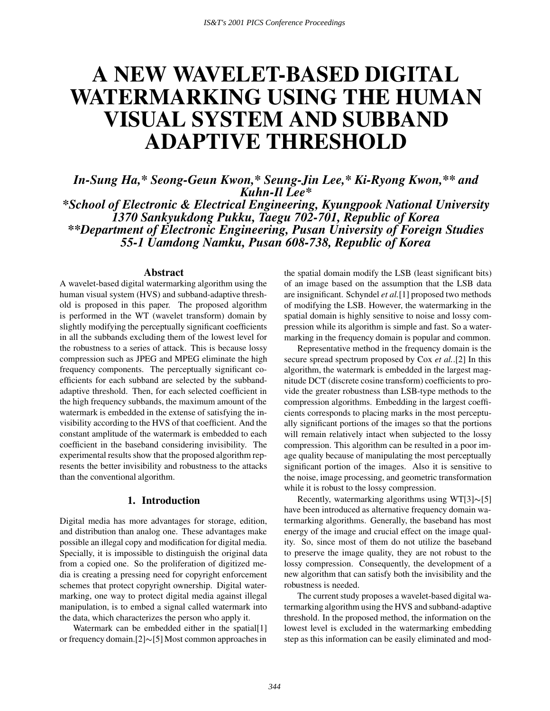# **A NEW WAVELET-BASED DIGITAL WATERMARKING USING THE HUMAN VISUAL SYSTEM AND SUBBAND ADAPTIVE THRESHOLD**

*In-Sung Ha,\* Seong-Geun Kwon,\* Seung-Jin Lee,\* Ki-Ryong Kwon,\*\* and Kuhn-Il Lee\* \*School of Electronic & Electrical Engineering, Kyungpook National University 1370 Sankyukdong Pukku, Taegu 702-701, Republic of Korea \*\*Department of Electronic Engineering, Pusan University of Foreign Studies 55-1 Uamdong Namku, Pusan 608-738, Republic of Korea*

#### **Abstract**

A wavelet-based digital watermarking algorithm using the human visual system (HVS) and subband-adaptive threshold is proposed in this paper. The proposed algorithm is performed in the WT (wavelet transform) domain by slightly modifying the perceptually significant coefficients in all the subbands excluding them of the lowest level for the robustness to a series of attack. This is because lossy compression such as JPEG and MPEG eliminate the high frequency components. The perceptually significant coefficients for each subband are selected by the subbandadaptive threshold. Then, for each selected coefficient in the high frequency subbands, the maximum amount of the watermark is embedded in the extense of satisfying the invisibility according to the HVS of that coefficient. And the constant amplitude of the watermark is embedded to each coefficient in the baseband considering invisibility. The experimental results show that the proposed algorithm represents the better invisibility and robustness to the attacks than the conventional algorithm.

#### **1. Introduction**

Digital media has more advantages for storage, edition, and distribution than analog one. These advantages make possible an illegal copy and modification for digital media. Specially, it is impossible to distinguish the original data from a copied one. So the proliferation of digitized media is creating a pressing need for copyright enforcement schemes that protect copyright ownership. Digital watermarking, one way to protect digital media against illegal manipulation, is to embed a signal called watermark into the data, which characterizes the person who apply it.

Watermark can be embedded either in the spatial[1] or frequency domain.[2] $\sim$ [5] Most common approaches in

the spatial domain modify the LSB (least significant bits) of an image based on the assumption that the LSB data are insignificant. Schyndel *et al.*[1] proposed two methods of modifying the LSB. However, the watermarking in the spatial domain is highly sensitive to noise and lossy compression while its algorithm is simple and fast. So a watermarking in the frequency domain is popular and common.

Representative method in the frequency domain is the secure spread spectrum proposed by Cox *et al.*.[2] In this algorithm, the watermark is embedded in the largest magnitude DCT (discrete cosine transform) coefficients to provide the greater robustness than LSB-type methods to the compression algorithms. Embedding in the largest coefficients corresponds to placing marks in the most perceptually significant portions of the images so that the portions will remain relatively intact when subjected to the lossy compression. This algorithm can be resulted in a poor image quality because of manipulating the most perceptually significant portion of the images. Also it is sensitive to the noise, image processing, and geometric transformation while it is robust to the lossy compression.

Recently, watermarking algorithms using  $WT[3] \sim [5]$ have been introduced as alternative frequency domain watermarking algorithms. Generally, the baseband has most energy of the image and crucial effect on the image quality. So, since most of them do not utilize the baseband to preserve the image quality, they are not robust to the lossy compression. Consequently, the development of a new algorithm that can satisfy both the invisibility and the robustness is needed.

The current study proposes a wavelet-based digital watermarking algorithm using the HVS and subband-adaptive threshold. In the proposed method, the information on the lowest level is excluded in the watermarking embedding step as this information can be easily eliminated and mod-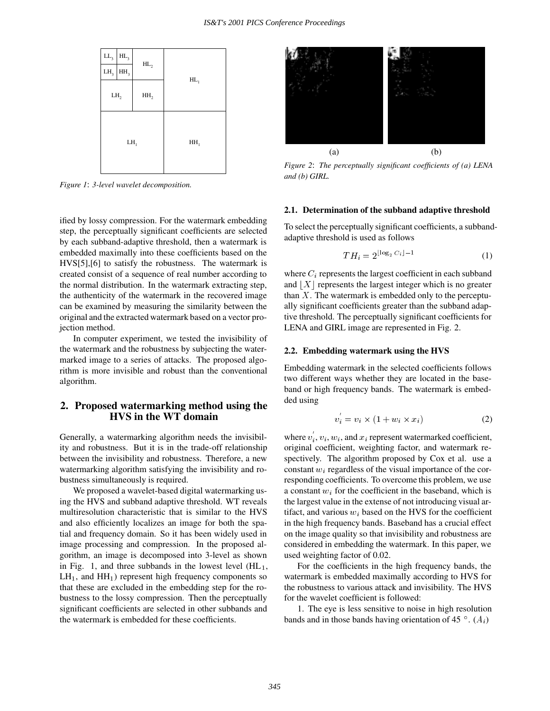

*Figure 1*: *3-level wavelet decomposition.*

ified by lossy compression. For the watermark embedding step, the perceptually significant coefficients are selected by each subband-adaptive threshold, then a watermark is embedded maximally into these coefficients based on the HVS[5],[6] to satisfy the robustness. The watermark is created consist of a sequence of real number according to the normal distribution. In the watermark extracting step, the authenticity of the watermark in the recovered image can be examined by measuring the similarity between the original and the extracted watermark based on a vector projection method.

In computer experiment, we tested the invisibility of the watermark and the robustness by subjecting the watermarked image to a series of attacks. The proposed algorithm is more invisible and robust than the conventional algorithm.

## **2. Proposed watermarking method using the HVS in the WT domain**

Generally, a watermarking algorithm needs the invisibility and robustness. But it is in the trade-off relationship between the invisibility and robustness. Therefore, a new watermarking algorithm satisfying the invisibility and robustness simultaneously is required.

We proposed a wavelet-based digital watermarking using the HVS and subband adaptive threshold. WT reveals multiresolution characteristic that is similar to the HVS and also efficiently localizes an image for both the spatial and frequency domain. So it has been widely used in image processing and compression. In the proposed algorithm, an image is decomposed into 3-level as shown in Fig. 1, and three subbands in the lowest level  $(HL_1,$  $LH_1$ , and  $HH_1$ ) represent high frequency components so that these are excluded in the embedding step for the robustness to the lossy compression. Then the perceptually significant coefficients are selected in other subbands and the watermark is embedded for these coefficients.



*Figure 2*: *The perceptually significant coefficients of (a) LENA and (b) GIRL.*

#### **2.1. Determination of the subband adaptive threshold**

To select the perceptually significant coefficients, a subbandadaptive threshold is used as follows

$$
TH_i = 2^{\lfloor \log_2 C_i \rfloor - 1} \tag{1}
$$

where  $C_i$  represents the largest coefficient in each subband and  $|X|$  represents the largest integer which is no greater than  $X$ . The watermark is embedded only to the perceptually significant coefficients greater than the subband adaptive threshold. The perceptually significant coefficients for LENA and GIRL image are represented in Fig. 2.

#### **2.2. Embedding watermark using the HVS**

Embedding watermark in the selected coefficients follows two different ways whether they are located in the baseband or high frequency bands. The watermark is embedded using

$$
v_i = v_i \times (1 + w_i \times x_i) \tag{2}
$$

where  $v_i$ ,  $v_i$ ,  $w_i$ , and  $x_i$  represent watermarked coefficient, original coefficient, weighting factor, and watermark respectively. The algorithm proposed by Cox et al. use a constant  $w_i$  regardless of the visual importance of the corresponding coefficients. To overcome this problem, we use a constant  $w_i$  for the coefficient in the baseband, which is the largest value in the extense of not introducing visual artifact, and various  $w_i$  based on the HVS for the coefficient in the high frequency bands. Baseband has a crucial effect on the image quality so that invisibility and robustness are considered in embedding the watermark. In this paper, we used weighting factor of 0.02.

For the coefficients in the high frequency bands, the watermark is embedded maximally according to HVS for the robustness to various attack and invisibility. The HVS for the wavelet coefficient is followed:

1. The eye is less sensitive to noise in high resolution bands and in those bands having orientation of 45  $\degree$ .  $(A_i)$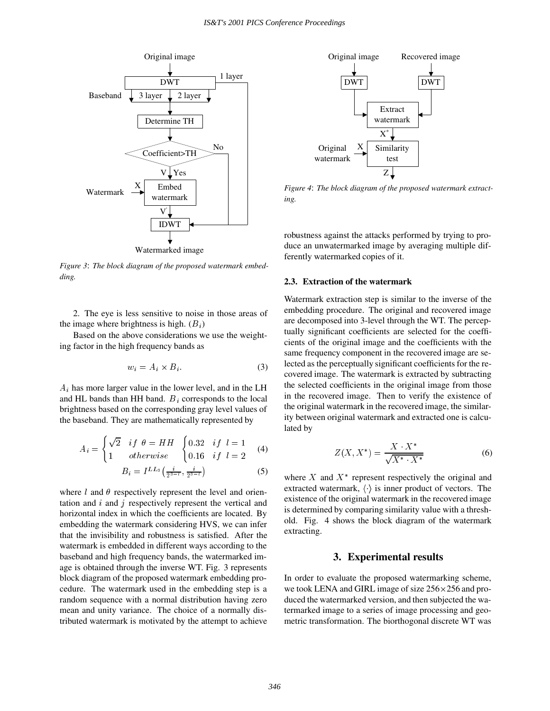

*Figure 3*: *The block diagram of the proposed watermark embedding.*

2. The eye is less sensitive to noise in those areas of the image where brightness is high.  $(B_i)$ 

Based on the above considerations we use the weighting factor in the high frequency bands as

$$
w_i = A_i \times B_i. \tag{3}
$$

 $A_i$  has more larger value in the lower level, and in the LH and HL bands than HH band.  $B_i$  corresponds to the local brightness based on the corresponding gray level values of the baseband. They are mathematically represented by

$$
A_i = \begin{cases} \sqrt{2} & if \theta = HH \\ 1 & otherwise \end{cases} \begin{cases} 0.32 & if \ l = 1 \\ 0.16 & if \ l = 2 \end{cases} \tag{4}
$$

$$
B_i = I^{LL_3} \left( \frac{i}{2^{3-l}}, \frac{i}{2^{3-l}} \right) \tag{5}
$$

where l and  $\theta$  respectively represent the level and orientation and  $i$  and  $j$  respectively represent the vertical and horizontal index in which the coefficients are located. By embedding the watermark considering HVS, we can infer that the invisibility and robustness is satisfied. After the watermark is embedded in different ways according to the baseband and high frequency bands, the watermarked image is obtained through the inverse WT. Fig. 3 represents block diagram of the proposed watermark embedding procedure. The watermark used in the embedding step is a random sequence with a normal distribution having zero mean and unity variance. The choice of a normally distributed watermark is motivated by the attempt to achieve



*Figure 4*: *The block diagram of the proposed watermark extracting.*

robustness against the attacks performed by trying to produce an unwatermarked image by averaging multiple differently watermarked copies of it.

#### **2.3. Extraction of the watermark**

Watermark extraction step is similar to the inverse of the embedding procedure. The original and recovered image are decomposed into 3-level through the WT. The perceptually significant coefficients are selected for the coefficients of the original image and the coefficients with the same frequency component in the recovered image are selected as the perceptually significant coefficients for the recovered image. The watermark is extracted by subtracting the selected coefficients in the original image from those in the recovered image. Then to verify the existence of the original watermark in the recovered image, the similarity between original watermark and extracted one is calculated by

$$
Z(X, X^*) = \frac{X \cdot X^*}{\sqrt{X^* \cdot X^*}}
$$
 (6)

where  $X$  and  $X^*$  represent respectively the original and extracted watermark,  $\langle \cdot \rangle$  is inner product of vectors. The existence of the original watermark in the recovered image is determined by comparing similarity value with a threshold. Fig. 4 shows the block diagram of the watermark extracting.

#### **3. Experimental results**

In order to evaluate the proposed watermarking scheme, we took LENA and GIRL image of size  $256 \times 256$  and produced the watermarked version, and then subjected the watermarked image to a series of image processing and geometric transformation. The biorthogonal discrete WT was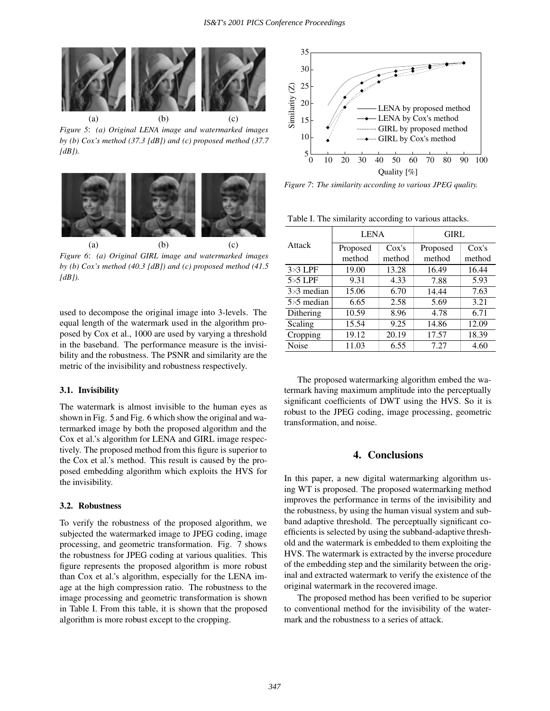

*Figure 5*: *(a) Original LENA image and watermarked images by (b) Cox's method (37.3 [dB]) and (c) proposed method (37.7 [dB]).*



*Figure 6*: *(a) Original GIRL image and watermarked images by (b) Cox's method (40.3 [dB]) and (c) proposed method (41.5 [dB]).*

used to decompose the original image into 3-levels. The equal length of the watermark used in the algorithm proposed by Cox et al., 1000 are used by varying a threshold in the baseband. The performance measure is the invisibility and the robustness. The PSNR and similarity are the metric of the invisibility and robustness respectively.

#### **3.1. Invisibility**

The watermark is almost invisible to the human eyes as shown in Fig. 5 and Fig. 6 which show the original and watermarked image by both the proposed algorithm and the Cox et al.'s algorithm for LENA and GIRL image respectively. The proposed method from this figure is superior to the Cox et al.'s method. This result is caused by the proposed embedding algorithm which exploits the HVS for the invisibility.

#### **3.2. Robustness**

To verify the robustness of the proposed algorithm, we subjected the watermarked image to JPEG coding, image processing, and geometric transformation. Fig. 7 shows the robustness for JPEG coding at various qualities. This figure represents the proposed algorithm is more robust than Cox et al.'s algorithm, especially for the LENA image at the high compression ratio. The robustness to the image processing and geometric transformation is shown in Table I. From this table, it is shown that the proposed algorithm is more robust except to the cropping.



*Figure 7*: *The similarity according to various JPEG quality.*

Table I. The similarity according to various attacks.

| <b>LENA</b> |        | <b>GIRL</b> |        |
|-------------|--------|-------------|--------|
| Proposed    | Cox's  | Proposed    | Cox's  |
| method      | method | method      | method |
| 19.00       | 13.28  | 16.49       | 16.44  |
| 9.31        | 4.33   | 7.88        | 5.93   |
| 15.06       | 6.70   | 14.44       | 7.63   |
| 6.65        | 2.58   | 5.69        | 3.21   |
| 10.59       | 8.96   | 4.78        | 6.71   |
| 15.54       | 9.25   | 14.86       | 12.09  |
| 19.12       | 20.19  | 17.57       | 18.39  |
| 11.03       | 6.55   | 7.27        | 4.60   |
|             |        |             |        |

The proposed watermarking algorithm embed the watermark having maximum amplitude into the perceptually significant coefficients of DWT using the HVS. So it is robust to the JPEG coding, image processing, geometric transformation, and noise.

### **4. Conclusions**

In this paper, a new digital watermarking algorithm using WT is proposed. The proposed watermarking method improves the performance in terms of the invisibility and the robustness, by using the human visual system and subband adaptive threshold. The perceptually significant coefficients is selected by using the subband-adaptive threshold and the watermark is embedded to them exploiting the HVS. The watermark is extracted by the inverse procedure of the embedding step and the similarity between the original and extracted watermark to verify the existence of the original watermark in the recovered image.

The proposed method has been verified to be superior to conventional method for the invisibility of the watermark and the robustness to a series of attack.